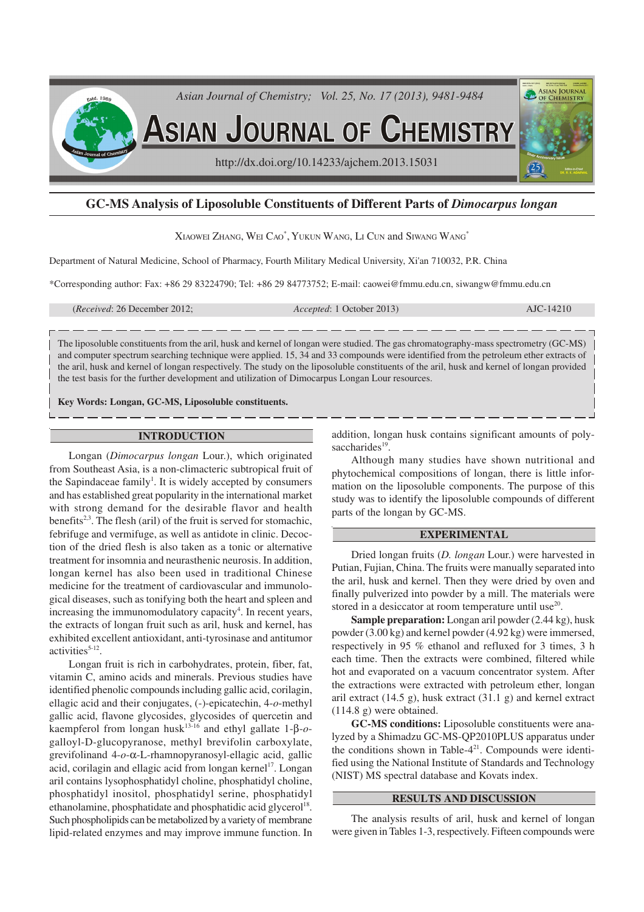

# **GC-MS Analysis of Liposoluble Constituents of Different Parts of** *Dimocarpus longan*

## Xiaowei Zhang, Wei Cao $^{\ast},$  Yukun Wang, Li Cun and Siwang Wang $^{\ast}$

Department of Natural Medicine, School of Pharmacy, Fourth Military Medical University, Xi'an 710032, P.R. China

\*Corresponding author: Fax: +86 29 83224790; Tel: +86 29 84773752; E-mail: caowei@fmmu.edu.cn, siwangw@fmmu.edu.cn

(*Received*: 26 December 2012; *Accepted*: 1 October 2013) AJC-14210

The liposoluble constituents from the aril, husk and kernel of longan were studied. The gas chromatography-mass spectrometry (GC-MS) and computer spectrum searching technique were applied. 15, 34 and 33 compounds were identified from the petroleum ether extracts of the aril, husk and kernel of longan respectively. The study on the liposoluble constituents of the aril, husk and kernel of longan provided the test basis for the further development and utilization of Dimocarpus Longan Lour resources.

**Key Words: Longan, GC-MS, Liposoluble constituents.**

## **INTRODUCTION**

Longan (*Dimocarpus longan* Lour.), which originated from Southeast Asia, is a non-climacteric subtropical fruit of the Sapindaceae family<sup>1</sup>. It is widely accepted by consumers and has established great popularity in the international market with strong demand for the desirable flavor and health benefits<sup>2,3</sup>. The flesh (aril) of the fruit is served for stomachic, febrifuge and vermifuge, as well as antidote in clinic. Decoction of the dried flesh is also taken as a tonic or alternative treatment for insomnia and neurasthenic neurosis. In addition, longan kernel has also been used in traditional Chinese medicine for the treatment of cardiovascular and immunological diseases, such as tonifying both the heart and spleen and increasing the immunomodulatory capacity<sup>4</sup>. In recent years, the extracts of longan fruit such as aril, husk and kernel, has exhibited excellent antioxidant, anti-tyrosinase and antitumor  $\text{activities}^{5-12}$ .

Longan fruit is rich in carbohydrates, protein, fiber, fat, vitamin C, amino acids and minerals. Previous studies have identified phenolic compounds including gallic acid, corilagin, ellagic acid and their conjugates, (-)-epicatechin, 4-*o*-methyl gallic acid, flavone glycosides, glycosides of quercetin and kaempferol from longan husk13-16 and ethyl gallate 1-β-*o*galloyl-D-glucopyranose, methyl brevifolin carboxylate, grevifolinand 4-*o*-α-L-rhamnopyranosyl-ellagic acid, gallic acid, corilagin and ellagic acid from longan kernel<sup>17</sup>. Longan aril contains lysophosphatidyl choline, phosphatidyl choline, phosphatidyl inositol, phosphatidyl serine, phosphatidyl ethanolamine, phosphatidate and phosphatidic acid glycerol<sup>18</sup>. Such phospholipids can be metabolized by a variety of membrane lipid-related enzymes and may improve immune function. In addition, longan husk contains significant amounts of polysaccharides<sup>19</sup>.

Although many studies have shown nutritional and phytochemical compositions of longan, there is little information on the liposoluble components. The purpose of this study was to identify the liposoluble compounds of different parts of the longan by GC-MS.

## **EXPERIMENTAL**

Dried longan fruits (*D. longan* Lour.) were harvested in Putian, Fujian, China. The fruits were manually separated into the aril, husk and kernel. Then they were dried by oven and finally pulverized into powder by a mill. The materials were stored in a desiccator at room temperature until use<sup>20</sup>.

**Sample preparation:** Longan aril powder (2.44 kg), husk powder (3.00 kg) and kernel powder (4.92 kg) were immersed, respectively in 95 % ethanol and refluxed for 3 times, 3 h each time. Then the extracts were combined, filtered while hot and evaporated on a vacuum concentrator system. After the extractions were extracted with petroleum ether, longan aril extract (14.5 g), husk extract (31.1 g) and kernel extract (114.8 g) were obtained.

**GC-MS conditions:** Liposoluble constituents were analyzed by a Shimadzu GC-MS-QP2010PLUS apparatus under the conditions shown in Table- $4<sup>21</sup>$ . Compounds were identified using the National Institute of Standards and Technology (NIST) MS spectral database and Kovats index.

## **RESULTS AND DISCUSSION**

The analysis results of aril, husk and kernel of longan were given in Tables 1-3, respectively. Fifteen compounds were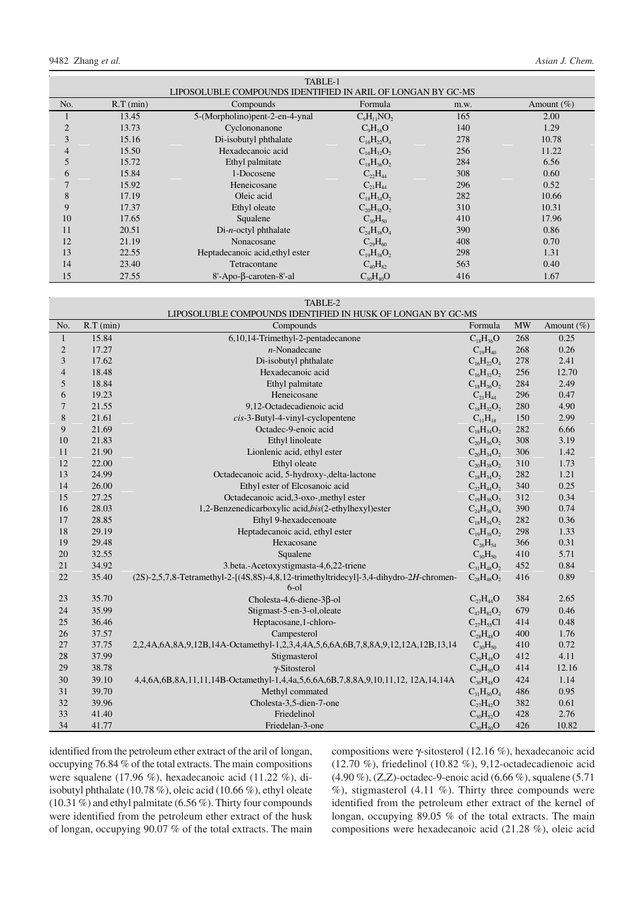|                |             | TABLE-1                                                     |                   |      |                |
|----------------|-------------|-------------------------------------------------------------|-------------------|------|----------------|
|                |             | LIPOSOLUBLE COMPOUNDS IDENTIFIED IN ARIL OF LONGAN BY GC-MS |                   |      |                |
| No.            | $R.T$ (min) | Compounds                                                   | Formula           | m.w. | Amount $(\% )$ |
|                | 13.45       | 5-(Morpholino) pent-2-en-4-ynal                             | $C_9H_{11}NO_2$   | 165  | 2.00           |
| $\overline{2}$ | 13.73       | Cyclononanone                                               | $C_9H_{16}O$      | 140  | 1.29           |
| 3              | 15.16       | Di-isobutyl phthalate                                       | $C_{16}H_{22}O_4$ | 278  | 10.78          |
| 4              | 15.50       | Hexadecanoic acid                                           | $C_{16}H_{32}O_2$ | 256  | 11.22          |
|                | 15.72       | Ethyl palmitate                                             | $C_{18}H_{36}O_2$ | 284  | 6.56           |
| 6              | 15.84       | 1-Docosene                                                  | $C_{22}H_{44}$    | 308  | 0.60           |
| 7              | 15.92       | Heneicosane                                                 | $C_{21}H_{44}$    | 296  | 0.52           |
| 8              | 17.19       | Oleic acid                                                  | $C_{18}H_{34}O_2$ | 282  | 10.66          |
| 9              | 17.37       | Ethyl oleate                                                | $C_{20}H_{38}O_2$ | 310  | 10.31          |
| 10             | 17.65       | Squalene                                                    | $C_{30}H_{50}$    | 410  | 17.96          |
| 11             | 20.51       | $Di-n-octyl$ phthalate                                      | $C_{24}H_{38}O_4$ | 390  | 0.86           |
| 12             | 21.19       | Nonacosane                                                  | $C_{29}H_{60}$    | 408  | 0.70           |
| 13             | 22.55       | Heptadecanoic acid, ethyl ester                             | $C_{19}H_{38}O_2$ | 298  | 1.31           |
| 14             | 23.40       | Tetracontane                                                | $C_{40}H_{82}$    | 563  | 0.40           |
| 15             | 27.55       | 8'-Apo-β-caroten-8'-al                                      | $C_{30}H_{40}O$   | 416  | 1.67           |

TABLE-2

| LIPOSOLUBLE COMPOUNDS IDENTIFIED IN HUSK OF LONGAN BY GC-MS |  |
|-------------------------------------------------------------|--|
|                                                             |  |

| No.                      | $R.T$ (min) | Compounds                                                                             | Formula           | <b>MW</b> | Amount $(\% )$ |
|--------------------------|-------------|---------------------------------------------------------------------------------------|-------------------|-----------|----------------|
| $\mathbf{1}$             | 15.84       | 6,10,14-Trimethyl-2-pentadecanone                                                     | $C_{18}H_{36}O$   | 268       | 0.25           |
| $\sqrt{2}$               | 17.27       | $n$ -Nonadecane                                                                       | $C_{19}H_{40}$    | 268       | 0.26           |
| 3                        | 17.62       | Di-isobutyl phthalate                                                                 | $C_{16}H_{22}O_4$ | 278       | 2.41           |
| $\overline{\mathcal{L}}$ | 18.48       | Hexadecanoic acid                                                                     | $C_{16}H_{32}O_2$ | 256       | 12.70          |
| 5                        | 18.84       | Ethyl palmitate                                                                       | $C_{18}H_{36}O_2$ | 284       | 2.49           |
| 6                        | 19.23       | Heneicosane                                                                           | $C_{21}H_{44}$    | 296       | 0.47           |
| 7                        | 21.55       | 9,12-Octadecadienoic acid                                                             | $C_{18}H_{32}O_2$ | 280       | 4.90           |
| 8                        | 21.61       | $cis$ -3-Butyl-4-vinyl-cyclopentene                                                   | $C_{11}H_{18}$    | 150       | 2.99           |
| 9                        | 21.69       | Octadec-9-enoic acid                                                                  | $C_{18}H_{34}O_2$ | 282       | 6.66           |
| 10                       | 21.83       | Ethyl linoleate                                                                       | $C_{20}H_{36}O_2$ | 308       | 3.19           |
| 11                       | 21.90       | Lionlenic acid, ethyl ester                                                           | $C_{20}H_{34}O_2$ | 306       | 1.42           |
| 12                       | 22.00       | Ethyl oleate                                                                          | $C_{20}H_{38}O_2$ | 310       | 1.73           |
| 13                       | 24.99       | Octadecanoic acid, 5-hydroxy-, delta-lactone                                          | $C_{18}H_{34}O_2$ | 282       | 1.21           |
| 14                       | 26.00       | Ethyl ester of Elcosanoic acid                                                        | $C_{22}H_{44}O_2$ | 340       | 0.25           |
| 15                       | 27.25       | Octadecanoic acid, 3-oxo-, methyl ester                                               | $C_{19}H_{36}O_3$ | 312       | 0.34           |
| 16                       | 28.03       | 1,2-Benzenedicarboxylic acid, bis(2-ethylhexyl) ester                                 | $C_{24}H_{38}O_4$ | 390       | 0.74           |
| 17                       | 28.85       | Ethyl 9-hexadecenoate                                                                 | $C_{18}H_{34}O_2$ | 282       | 0.36           |
| 18                       | 29.19       | Heptadecanoic acid, ethyl ester                                                       | $C_{19}H_{38}O_2$ | 298       | 1.33           |
| 19                       | 29.48       | Hexacosane                                                                            | $C_{26}H_{54}$    | 366       | 0.31           |
| $20\,$                   | 32.55       | Squalene                                                                              | $C_{30}H_{50}$    | 410       | 5.71           |
| 21                       | 34.92       | 3.beta.-Acetoxystigmasta-4,6,22-triene                                                | $C_{31}H_{48}O_2$ | 452       | 0.84           |
| 22                       | 35.40       | (2S)-2,5,7,8-Tetramethyl-2-[(4S,8S)-4,8,12-trimethyltridecyl]-3,4-dihydro-2H-chromen- | $C_{28}H_{48}O_2$ | 416       | 0.89           |
|                          |             | $6-01$                                                                                |                   |           |                |
| $23\,$                   | 35.70       | Cholesta-4,6-diene-3 $\beta$ -ol                                                      | $C_{27}H_{44}O$   | 384       | 2.65           |
| 24                       | 35.99       | Stigmast-5-en-3-ol, oleate                                                            | $C_{47}H_{82}O_2$ | 679       | 0.46           |
| 25                       | 36.46       | Heptacosane, 1-chloro-                                                                | $C_{27}H_{55}Cl$  | 414       | 0.48           |
| 26                       | 37.57       | Campesterol                                                                           | $C_{28}H_{48}O$   | 400       | 1.76           |
| 27                       | 37.75       | 2,2,4A,6A,8A,9,12B,14A-Octamethyl-1,2,3,4,4A,5,6,6A,6B,7,8,8A,9,12,12A,12B,13,14      | $C_{30}H_{50}$    | 410       | 0.72           |
| 28                       | 37.99       | Stigmasterol                                                                          | $C_{29}H_{48}O$   | 412       | 4.11           |
| 29                       | 38.78       | γ-Sitosterol                                                                          | $C_{29}H_{50}O$   | 414       | 12.16          |
| 30                       | 39.10       | 4,4,6A,6B,8A,11,11,14B-Octamethyl-1,4,4a,5,6,6A,6B,7,8,8A,9,10,11,12, 12A,14,14A      | $C_{30}H_{48}O$   | 424       | 1.14           |
| 31                       | 39.70       | Methyl commated                                                                       | $C_{31}H_{50}O_4$ | 486       | 0.95           |
| 32                       | 39.96       | Cholesta-3,5-dien-7-one                                                               | $C_{27}H_{42}O$   | 382       | 0.61           |
| 33                       | 41.40       | Friedelinol                                                                           | $C_{30}H_{52}O$   | 428       | 2.76           |
| 34                       | 41.77       | Friedelan-3-one                                                                       | $C_{30}H_{50}O$   | 426       | 10.82          |

identified from the petroleum ether extract of the aril of longan, occupying 76.84 % of the total extracts. The main compositions were squalene (17.96 %), hexadecanoic acid (11.22 %), diisobutyl phthalate (10.78 %), oleic acid (10.66 %), ethyl oleate (10.31 %) and ethyl palmitate (6.56 %). Thirty four compounds were identified from the petroleum ether extract of the husk of longan, occupying 90.07 % of the total extracts. The main compositions were γ-sitosterol (12.16 %), hexadecanoic acid (12.70 %), friedelinol (10.82 %), 9,12-octadecadienoic acid (4.90 %), (Z,Z)-octadec-9-enoic acid (6.66 %), squalene (5.71  $\%$ ), stigmasterol (4.11 %). Thirty three compounds were identified from the petroleum ether extract of the kernel of longan, occupying 89.05 % of the total extracts. The main compositions were hexadecanoic acid (21.28 %), oleic acid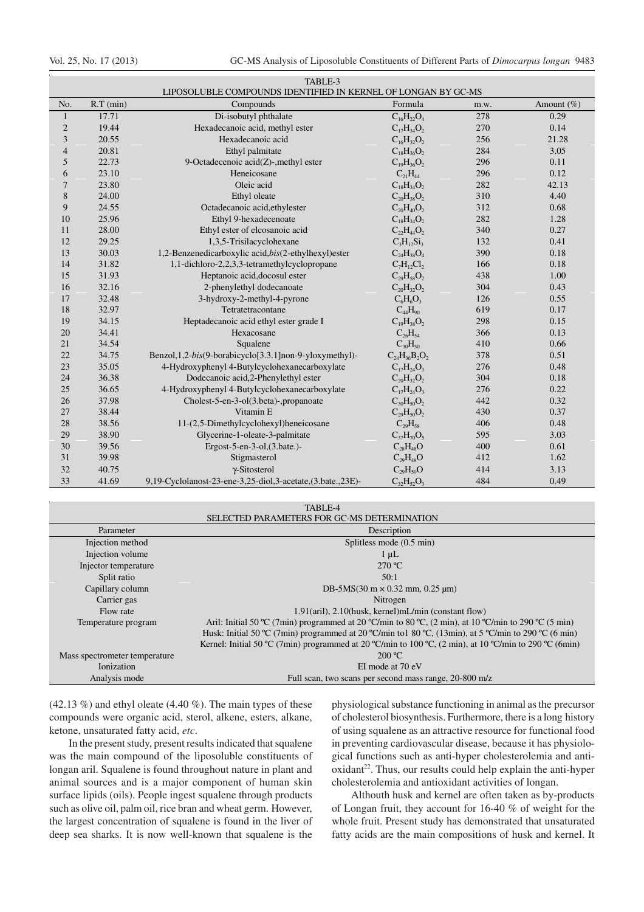|                |             | TABLE-3<br>LIPOSOLUBLE COMPOUNDS IDENTIFIED IN KERNEL OF LONGAN BY GC-MS |                      |      |            |
|----------------|-------------|--------------------------------------------------------------------------|----------------------|------|------------|
| No.            | $R.T$ (min) | Compounds                                                                | Formula              | m.w. | Amount (%) |
| 1              | 17.71       | Di-isobutyl phthalate                                                    | $C_{16}H_{22}O_4$    | 278  | 0.29       |
| $\overline{c}$ | 19.44       | Hexadecanoic acid, methyl ester                                          | $C_{17}H_{34}O_2$    | 270  | 0.14       |
| 3              | 20.55       | Hexadecanoic acid                                                        | $C_{16}H_{32}O_2$    | 256  | 21.28      |
| $\overline{4}$ | 20.81       | Ethyl palmitate                                                          | $C_{18}H_{36}O_2$    | 284  | 3.05       |
| 5              | 22.73       | 9-Octadecenoic acid(Z)-, methyl ester                                    | $C_{19}H_{36}O_2$    | 296  | 0.11       |
| 6              | 23.10       | Heneicosane                                                              | $C_{21}H_{44}$       | 296  | 0.12       |
| 7              | 23.80       | Oleic acid                                                               | $C_{18}H_{34}O_2$    | 282  | 42.13      |
| 8              | 24.00       | Ethyl oleate                                                             | $C_{20}H_{38}O_2$    | 310  | 4.40       |
| 9              | 24.55       | Octadecanoic acid, ethylester                                            | $C_{20}H_{40}O_2$    | 312  | 0.68       |
| 10             | 25.96       | Ethyl 9-hexadecenoate                                                    | $C_{18}H_{34}O_2$    | 282  | 1.28       |
| 11             | 28.00       | Ethyl ester of elcosanoic acid                                           | $C_{22}H_{44}O_2$    | 340  | 0.27       |
| 12             | 29.25       | 1,3,5-Trisilacyclohexane                                                 | $C_3H_{12}Si_3$      | 132  | 0.41       |
| 13             | 30.03       | 1,2-Benzenedicarboxylic acid,bis(2-ethylhexyl)ester                      | $C_{24}H_{38}O_4$    | 390  | 0.18       |
| 14             | 31.82       | 1,1-dichloro-2,2,3,3-tetramethylcyclopropane                             | $C_7H_{12}Cl_2$      | 166  | 0.18       |
| 15             | 31.93       | Heptanoic acid, docosul ester                                            | $C_{29}H_{58}O_2$    | 438  | 1.00       |
| 16             | 32.16       | 2-phenylethyl dodecanoate                                                | $C_{20}H_{32}O_2$    | 304  | 0.43       |
| 17             | 32.48       | 3-hydroxy-2-methyl-4-pyrone                                              | $C_6H_6O_3$          | 126  | 0.55       |
| 18             | 32.97       | Tetratetracontane                                                        | $C_{44}H_{90}$       | 619  | 0.17       |
| 19             | 34.15       | Heptadecanoic acid ethyl ester grade I                                   | $C_{19}H_{38}O_2$    | 298  | 0.15       |
| 20             | 34.41       | Hexacosane                                                               | $C_{26}H_{54}$       | 366  | 0.13       |
| 21             | 34.54       | Squalene                                                                 | $C_{30}H_{50}$       | 410  | 0.66       |
| 22             | 34.75       | Benzol, 1, 2-bis(9-borabicyclo[3.3.1] non-9-yloxymethyl)-                | $C_{24}H_{36}B_2O_2$ | 378  | 0.51       |
| 23             | 35.05       | 4-Hydroxyphenyl 4-Butylcyclohexanecarboxylate                            | $C_{17}H_{24}O_3$    | 276  | 0.48       |
| 24             | 36.38       | Dodecanoic acid,2-Phenylethyl ester                                      | $C_{20}H_{32}O_2$    | 304  | 0.18       |
| 25             | 36.65       | 4-Hydroxyphenyl 4-Butylcyclohexanecarboxylate                            | $C_{17}H_{24}O_3$    | 276  | 0.22       |
| 26             | 37.98       | Cholest-5-en-3-ol(3.beta)-,propanoate                                    | $C_{30}H_{50}O_2$    | 442  | 0.32       |
| 27             | 38.44       | Vitamin E                                                                | $C_{29}H_{50}O_2$    | 430  | 0.37       |
| 28             | 38.56       | 11-(2,5-Dimethylcyclohexyl)heneicosane                                   | $C_{29}H_{58}$       | 406  | 0.48       |
| 29             | 38.90       | Glycerine-1-oleate-3-palmitate                                           | $C_{37}H_{70}O_5$    | 595  | 3.03       |
| 30             | 39.56       | Ergost-5-en-3-ol, $(3.\text{bate.})$ -                                   | $C_{28}H_{48}O$      | 400  | 0.61       |
| 31             | 39.98       | Stigmasterol                                                             | $C_{29}H_{48}O$      | 412  | 1.62       |
| 32             | 40.75       | γ-Sitosterol                                                             | $C_{29}H_{50}O$      | 414  | 3.13       |
| 33             | 41.69       | 9,19-Cyclolanost-23-ene-3,25-diol,3-acetate,(3.bate.,23E)-               | $C_{32}H_{52}O_3$    | 484  | 0.49       |

| TABLE-4 |  |
|---------|--|
|         |  |

| SELECTED PARAMETERS FOR GC-MS DETERMINATION |                                                                                                        |  |  |  |
|---------------------------------------------|--------------------------------------------------------------------------------------------------------|--|--|--|
| Parameter                                   | Description                                                                                            |  |  |  |
| Injection method                            | Splitless mode (0.5 min)                                                                               |  |  |  |
| Injection volume                            | $1 \mu L$                                                                                              |  |  |  |
| Injector temperature                        | $270 \text{ °C}$                                                                                       |  |  |  |
| Split ratio                                 | 50:1                                                                                                   |  |  |  |
| Capillary column                            | DB-5MS(30 m $\times$ 0.32 mm, 0.25 µm)                                                                 |  |  |  |
| Carrier gas                                 | Nitrogen                                                                                               |  |  |  |
| Flow rate                                   | $1.91$ (aril), $2.10$ (husk, kernel)mL/min (constant flow)                                             |  |  |  |
| Temperature program                         | Aril: Initial 50 °C (7min) programmed at 20 °C/min to 80 °C, (2 min), at 10 °C/min to 290 °C (5 min)   |  |  |  |
|                                             | Husk: Initial 50 °C (7min) programmed at 20 °C/min to 1 80 °C, (13min), at 5 °C/min to 290 °C (6 min)  |  |  |  |
|                                             | Kernel: Initial 50 °C (7min) programmed at 20 °C/min to 100 °C, (2 min), at 10 °C/min to 290 °C (6min) |  |  |  |
| Mass spectrometer temperature               | 200 °C                                                                                                 |  |  |  |
| Ionization                                  | EI mode at 70 eV                                                                                       |  |  |  |
| Analysis mode                               | Full scan, two scans per second mass range, 20-800 m/z                                                 |  |  |  |

 $(42.13\%)$  and ethyl oleate  $(4.40\%)$ . The main types of these compounds were organic acid, sterol, alkene, esters, alkane, ketone, unsaturated fatty acid, *etc*.

In the present study, present results indicated that squalene was the main compound of the liposoluble constituents of longan aril. Squalene is found throughout nature in plant and animal sources and is a major component of human skin surface lipids (oils). People ingest squalene through products such as olive oil, palm oil, rice bran and wheat germ. However, the largest concentration of squalene is found in the liver of deep sea sharks. It is now well-known that squalene is the

physiological substance functioning in animal as the precursor of cholesterol biosynthesis. Furthermore, there is a long history of using squalene as an attractive resource for functional food in preventing cardiovascular disease, because it has physiological functions such as anti-hyper cholesterolemia and antioxidant<sup>22</sup>. Thus, our results could help explain the anti-hyper cholesterolemia and antioxidant activities of longan.

Althouth husk and kernel are often taken as by-products of Longan fruit, they account for 16-40 % of weight for the whole fruit. Present study has demonstrated that unsaturated fatty acids are the main compositions of husk and kernel. It